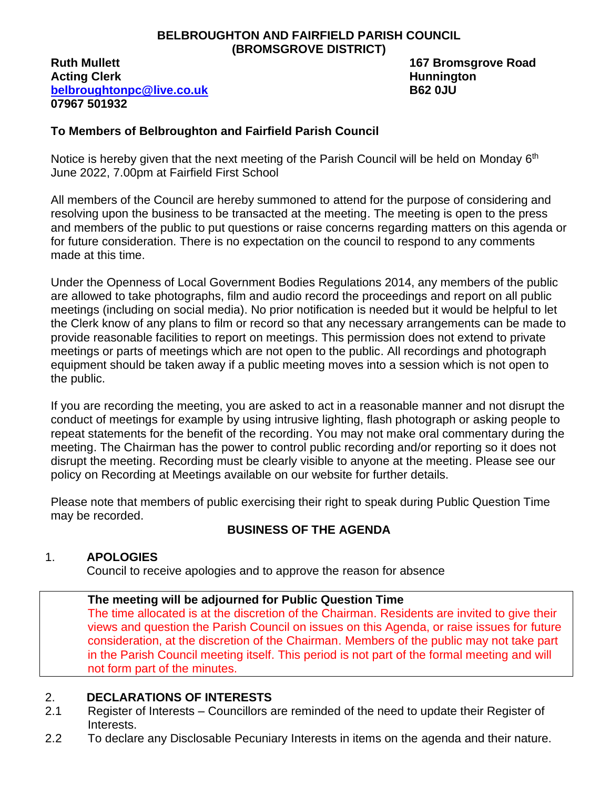#### **BELBROUGHTON AND FAIRFIELD PARISH COUNCIL (BROMSGROVE DISTRICT)**

#### **Ruth Mullett 167 Bromsgrove Road Acting Clerk Hunnington [belbroughtonpc@live.co.uk](mailto:belbroughtonpc@live.co.uk) B62 0JU 07967 501932**

#### **To Members of Belbroughton and Fairfield Parish Council**

Notice is hereby given that the next meeting of the Parish Council will be held on Monday 6<sup>th</sup> June 2022, 7.00pm at Fairfield First School

All members of the Council are hereby summoned to attend for the purpose of considering and resolving upon the business to be transacted at the meeting. The meeting is open to the press and members of the public to put questions or raise concerns regarding matters on this agenda or for future consideration. There is no expectation on the council to respond to any comments made at this time.

Under the Openness of Local Government Bodies Regulations 2014, any members of the public are allowed to take photographs, film and audio record the proceedings and report on all public meetings (including on social media). No prior notification is needed but it would be helpful to let the Clerk know of any plans to film or record so that any necessary arrangements can be made to provide reasonable facilities to report on meetings. This permission does not extend to private meetings or parts of meetings which are not open to the public. All recordings and photograph equipment should be taken away if a public meeting moves into a session which is not open to the public.

If you are recording the meeting, you are asked to act in a reasonable manner and not disrupt the conduct of meetings for example by using intrusive lighting, flash photograph or asking people to repeat statements for the benefit of the recording. You may not make oral commentary during the meeting. The Chairman has the power to control public recording and/or reporting so it does not disrupt the meeting. Recording must be clearly visible to anyone at the meeting. Please see our policy on Recording at Meetings available on our website for further details.

Please note that members of public exercising their right to speak during Public Question Time may be recorded.

# **BUSINESS OF THE AGENDA**

### 1. **APOLOGIES**

Council to receive apologies and to approve the reason for absence

### **The meeting will be adjourned for Public Question Time**

The time allocated is at the discretion of the Chairman. Residents are invited to give their views and question the Parish Council on issues on this Agenda, or raise issues for future consideration, at the discretion of the Chairman. Members of the public may not take part in the Parish Council meeting itself. This period is not part of the formal meeting and will not form part of the minutes.

### 2. **DECLARATIONS OF INTERESTS**

- 2.1 Register of Interests Councillors are reminded of the need to update their Register of Interests.
- 2.2 To declare any Disclosable Pecuniary Interests in items on the agenda and their nature.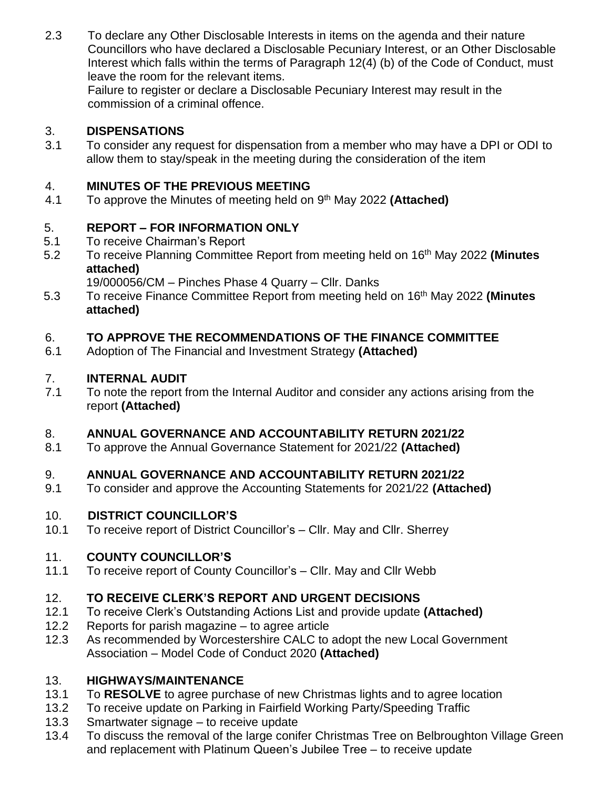2.3 To declare any Other Disclosable Interests in items on the agenda and their nature Councillors who have declared a Disclosable Pecuniary Interest, or an Other Disclosable Interest which falls within the terms of Paragraph 12(4) (b) of the Code of Conduct, must leave the room for the relevant items.

Failure to register or declare a Disclosable Pecuniary Interest may result in the commission of a criminal offence.

# 3. **DISPENSATIONS**

3.1 To consider any request for dispensation from a member who may have a DPI or ODI to allow them to stay/speak in the meeting during the consideration of the item

### 4. **MINUTES OF THE PREVIOUS MEETING**

4.1 To approve the Minutes of meeting held on 9 th May 2022 **(Attached)**

# 5. **REPORT – FOR INFORMATION ONLY**

- 5.1 To receive Chairman's Report
- 5.2 To receive Planning Committee Report from meeting held on 16th May 2022 **(Minutes attached)**

19/000056/CM – Pinches Phase 4 Quarry – Cllr. Danks

5.3 To receive Finance Committee Report from meeting held on 16th May 2022 **(Minutes attached)**

### 6. **TO APPROVE THE RECOMMENDATIONS OF THE FINANCE COMMITTEE**

6.1 Adoption of The Financial and Investment Strategy **(Attached)**

### 7. **INTERNAL AUDIT**

7.1 To note the report from the Internal Auditor and consider any actions arising from the report **(Attached)**

### 8. **ANNUAL GOVERNANCE AND ACCOUNTABILITY RETURN 2021/22**

8.1 To approve the Annual Governance Statement for 2021/22 **(Attached)**

### 9. **ANNUAL GOVERNANCE AND ACCOUNTABILITY RETURN 2021/22**

9.1 To consider and approve the Accounting Statements for 2021/22 **(Attached)**

### 10. **DISTRICT COUNCILLOR'S**

10.1 To receive report of District Councillor's – Cllr. May and Cllr. Sherrey

# 11. **COUNTY COUNCILLOR'S**

11.1 To receive report of County Councillor's – Cllr. May and Cllr Webb

# 12. **TO RECEIVE CLERK'S REPORT AND URGENT DECISIONS**

- 12.1 To receive Clerk's Outstanding Actions List and provide update **(Attached)**
- 12.2 Reports for parish magazine to agree article
- 12.3 As recommended by Worcestershire CALC to adopt the new Local Government Association – Model Code of Conduct 2020 **(Attached)**

# 13. **HIGHWAYS/MAINTENANCE**

- 13.1 To **RESOLVE** to agree purchase of new Christmas lights and to agree location
- 13.2 To receive update on Parking in Fairfield Working Party/Speeding Traffic
- 13.3 Smartwater signage to receive update
- 13.4 To discuss the removal of the large conifer Christmas Tree on Belbroughton Village Green and replacement with Platinum Queen's Jubilee Tree – to receive update